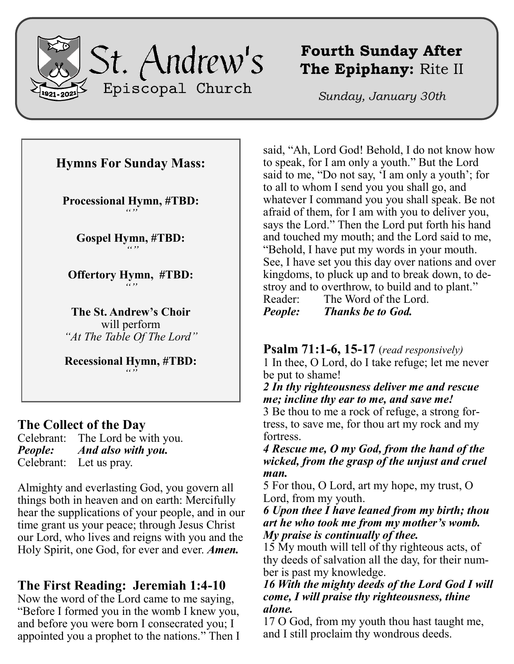

# **Fourth Sunday After The Epiphany:** Rite II

*Sunday, January 30th*

## **Hymns For Sunday Mass:**

**Processional Hymn, #TBD:** *""*

**Gospel Hymn, #TBD:** *""*

**Offertory Hymn, #TBD:** *""*

**The St. Andrew's Choir** will perform *"At The Table Of The Lord"*

**Recessional Hymn, #TBD:** *""*

### **The Collect of the Day**

Celebrant: The Lord be with you. *People: And also with you.* Celebrant: Let us pray.

Almighty and everlasting God, you govern all things both in heaven and on earth: Mercifully hear the supplications of your people, and in our time grant us your peace; through Jesus Christ our Lord, who lives and reigns with you and the Holy Spirit, one God, for ever and ever. *Amen.*

# **The First Reading: Jeremiah 1:4-10**

Now the word of the Lord came to me saying, "Before I formed you in the womb I knew you, and before you were born I consecrated you; I appointed you a prophet to the nations." Then I said, "Ah, Lord God! Behold, I do not know how to speak, for I am only a youth." But the Lord said to me, "Do not say, 'I am only a youth'; for to all to whom I send you you shall go, and whatever I command you you shall speak. Be not afraid of them, for I am with you to deliver you, says the Lord." Then the Lord put forth his hand and touched my mouth; and the Lord said to me, "Behold, I have put my words in your mouth. See, I have set you this day over nations and over kingdoms, to pluck up and to break down, to destroy and to overthrow, to build and to plant." Reader: The Word of the Lord.

*People: Thanks be to God.*

**Psalm 71:1-6, 15-17** (*read responsively)*

1 In thee, O Lord, do I take refuge; let me never be put to shame!

*2 In thy righteousness deliver me and rescue me; incline thy ear to me, and save me!*

3 Be thou to me a rock of refuge, a strong fortress, to save me, for thou art my rock and my fortress.

*4 Rescue me, O my God, from the hand of the wicked, from the grasp of the unjust and cruel man.*

5 For thou, O Lord, art my hope, my trust, O Lord, from my youth.

*6 Upon thee I have leaned from my birth; thou art he who took me from my mother's womb. My praise is continually of thee.*

15 My mouth will tell of thy righteous acts, of thy deeds of salvation all the day, for their number is past my knowledge.

#### *16 With the mighty deeds of the Lord God I will come, I will praise thy righteousness, thine alone.*

17 O God, from my youth thou hast taught me, and I still proclaim thy wondrous deeds.